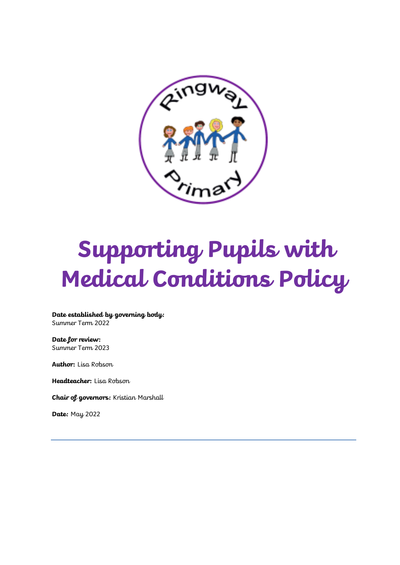

# **Supporting Pupils with Medical Conditions Policy**

**Date established by governing body:** Summer Term 2022

**Date for review:** Summer Term 2023

**Author:** Lisa Robson

**Headteacher:** Lisa Robson

**Chair of governors:** Kristian Marshall

**Date:** May 2022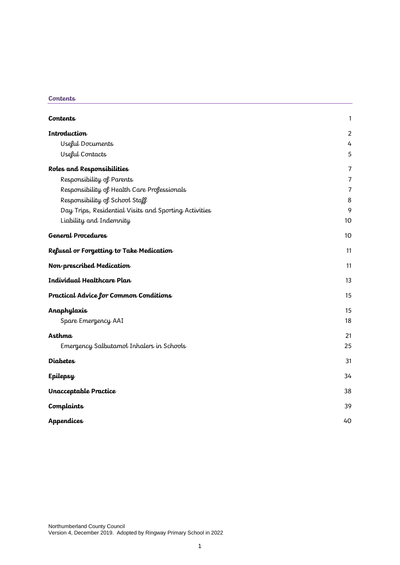#### <span id="page-1-0"></span>**Contents**

| Contents                                              | 1              |
|-------------------------------------------------------|----------------|
| Introduction                                          | $\overline{2}$ |
| Useful Documents                                      | 4              |
| Useful Contacts                                       | 5              |
| Roles and Responsibilities                            | $\overline{7}$ |
| Responsibility of Parents                             | 7              |
| Responsibility of Health Care Professionals           | 7              |
| Responsibility of School Staff                        | 8              |
| Day Trips, Residential Visits and Sporting Activities | 9              |
| Liability and Indemnity                               | 10             |
| <b>General Procedures</b>                             | 10             |
| Refusal or Forgetting to Take Medication              | 11             |
| Non-prescribed Medication                             | 11             |
| Individual Healthcare Plan                            | 13             |
| Practical Advice for Common Conditions                | 15             |
| Anaphylaxis                                           | 15             |
| Spare Emergency AAI                                   | 18             |
| Asthma                                                | 21             |
| Emergency Salbutamol Inhalers in Schools              | 25             |
| <b>Diabetes</b>                                       | 31             |
| Epilepsy                                              | 34             |
| Unacceptable Practice                                 | 38             |
| Complaints                                            | 39             |
| <b>Appendices</b>                                     | 40             |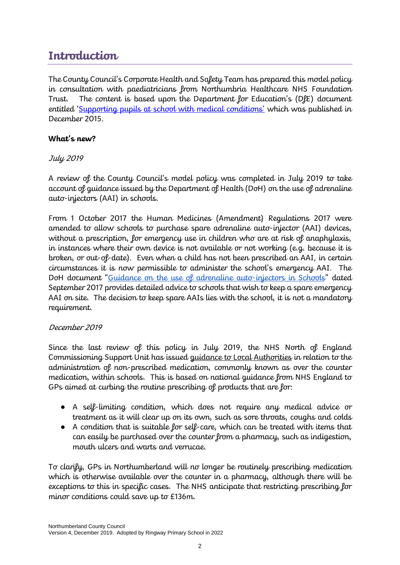# <span id="page-2-0"></span>**Introduction**

The County Council's Corporate Health and Safety Team has prepared this model policy in consultation with paediatricians from Northumbria Healthcare NHS Foundation Trust. The content is based upon the Department for Education's (DfE) document entitled ['Supporting pupils at school with medical conditions'](https://www.gov.uk/government/uploads/system/uploads/attachment_data/file/349435/Statutory_guidance_on_supporting_pupils_at_school_with_medical_conditions.pdf) which was published in December 2015.

#### **What's new?**

#### July 2019

A review of the County Council's model policy was completed in July 2019 to take account of guidance issued by the Department of Health (DoH) on the use of adrenaline auto-injectors (AAI) in schools.

From 1 October 2017 the Human Medicines (Amendment) Regulations 2017 were amended to allow schools to purchase spare adrenaline auto-injector (AAI) devices, without a prescription, for emergency use in children who are at risk of anaphylaxis, in instances where their own device is not available or not working (e.g. because it is broken, or out-of-date). Even when a child has not been prescribed an AAI, in certain circumstances it is now permissible to administer the school's emergency AAI. The DoH document "[Guidance on the use of adrenaline auto-injectors in Schools](https://assets.publishing.service.gov.uk/government/uploads/system/uploads/attachment_data/file/645476/Adrenaline_auto_injectors_in_schools.pdf)" dated September 2017 provides detailed advice to schools that wish to keep a spare emergency AAI on site. The decision to keep spare AAIs lies with the school, it is not a mandatory requirement.

#### December 2019

Since the last review of this policy in July 2019, the NHS North of England Commissioning Support Unit has issued [guidance to Local Authorities](https://drive.google.com/open?id=1COplVc0AU-TqKEJ_fSPEiR9mouuSp11c) in relation to the administration of non-prescribed medication, commonly known as over the counter medication, within schools. This is based on national guidance from NHS England to GPs aimed at curbing the routine prescribing of products that are for:

- A self-limiting condition, which does not require any medical advice or treatment as it will clear up on its own, such as sore throats, coughs and colds
- A condition that is suitable for self-care, which can be treated with items that can easily be purchased over the counter from a pharmacy, such as indigestion, mouth ulcers and warts and verrucae.

To clarify, GPs in Northumberland will no longer be routinely prescribing medication which is otherwise available over the counter in a pharmacy, although there will be exceptions to this in specific cases. The NHS anticipate that restricting prescribing for minor conditions could save up to £136m.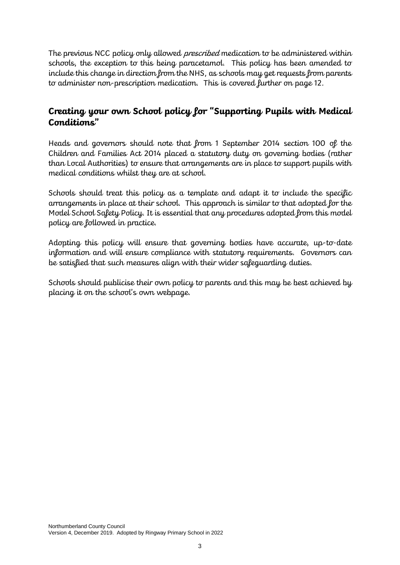The previous NCC policy only allowed *prescribed* medication to be administered within schools, the exception to this being paracetamol. This policy has been amended to include this change in direction from the NHS, as schools may get requests from parents to administer non-prescription medication. This is covered further on page 12.

# **Creating your own School policy for "Supporting Pupils with Medical Conditions"**

Heads and governors should note that from 1 September 2014 section 100 of the Children and Families Act 2014 placed a statutory duty on governing bodies (rather than Local Authorities) to ensure that arrangements are in place to support pupils with medical conditions whilst they are at school.

Schools should treat this policy as a template and adapt it to include the specific arrangements in place at their school. This approach is similar to that adopted for the Model School Safety Policy. It is essential that any procedures adopted from this model policy are followed in practice.

Adopting this policy will ensure that governing bodies have accurate, up-to-date information and will ensure compliance with statutory requirements. Governors can be satisfied that such measures align with their wider safeguarding duties.

Schools should publicise their own policy to parents and this may be best achieved by placing it on the school's own webpage.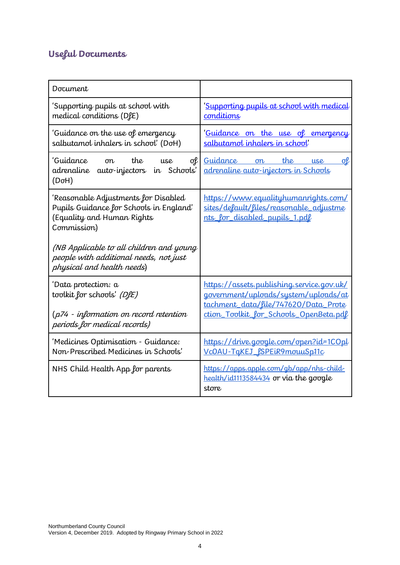# <span id="page-4-0"></span>**Useful Documents**

| Document                                                                                                                     |                                                                                                                                                                     |
|------------------------------------------------------------------------------------------------------------------------------|---------------------------------------------------------------------------------------------------------------------------------------------------------------------|
| Supporting pupils at school with<br>medical conditions (DLE)                                                                 | Supporting pupils at school with medical<br>conditions                                                                                                              |
| 'Guidance on the use of emergency<br>salbutamol inhalers in school' (DoH)                                                    | Guidance on the use of emergency<br>salbutamol inhalers in school'                                                                                                  |
| 'Guidance<br>the<br>ol<br>$\sigma$ n<br>use<br>adrenaline<br>auto-injectors in Schools'<br>(DoH)                             | Guidance on<br>the<br><u>ol</u><br>use<br>adrenaline auto-injectors in Schools                                                                                      |
| 'Reasonable Adjustments for Disabled<br>Pupils Guidance for Schools in England'<br>(Equality and Human Rights<br>Commission) | https://www.equalityhumanrights.com/<br>sites/default/files/reasonable_adjustme<br>nts for disabled pupils 1. pdf                                                   |
| (NB Applicable to all children and young<br>people with additional needs, not just<br>physical and health needs)             |                                                                                                                                                                     |
| 'Data protection: a<br>toolkit for schools' (DfE)<br>$(p74 - information on record retention$                                | https://assets.publishing.service.gov.uk/<br>government/uploads/system/uploads/at<br>tachment_data/file/747620/Data_Prote<br>ction_Toolkit_for_Schools_OpenBeta.pdf |
| periods for medical records)                                                                                                 |                                                                                                                                                                     |
| 'Medicines Optimisation - Guidance:<br>Non-Prescribed Medicines in Schools'                                                  | https://drive.google.com/open?id=1COpl<br>VcOAU-TgKEJ_ <i>SSPEiR9mouuSp11c</i>                                                                                      |
| NHS Child Health App for parents                                                                                             | https://apps.apple.com/gb/app/nhs-child-<br>health/id1113584434 or via the google<br>store                                                                          |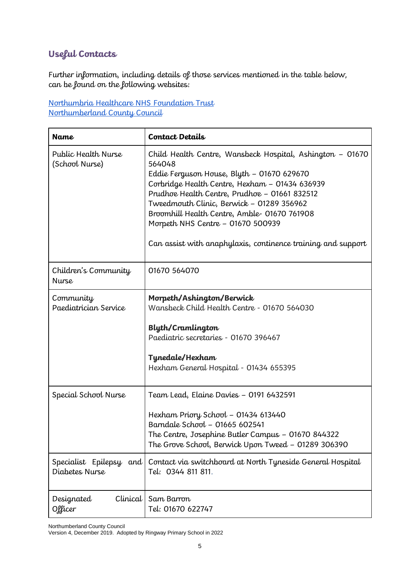# <span id="page-5-0"></span>**Useful Contacts**

Further information, including details of those services mentioned in the table below, can be found on the following websites:

[Northumbria Healthcare NHS Foundation Trust](https://www.northumbria.nhs.uk/our-services/childrens-services/) [Northumberland County Council](https://www.northumberland.gov.uk/Children/Northumberland-Local-Offer-SEND-0-to-25-years/Health.aspx)

| Name                                            | <b>Contact Details</b>                                                                                                                                                                                                                                                                                                                                                                                                |
|-------------------------------------------------|-----------------------------------------------------------------------------------------------------------------------------------------------------------------------------------------------------------------------------------------------------------------------------------------------------------------------------------------------------------------------------------------------------------------------|
| Public Health Nurse<br>(School Nurse)           | Child Health Centre, Wansbeck Hospital, Ashington - 01670<br>564048<br>Eddie Ferguson House, Blyth - 01670 629670<br>Corbridge Health Centre, Hexham - 01434 636939<br>Prudhoe Health Centre, Prudhoe - 01661 832512<br>Tweedmouth Clinic, Berwick - 01289 356962<br>Broomhill Health Centre, Amble-01670 761908<br>Morpeth NHS Centre - 01670 500939<br>Can assist with anaphylaxis, continence training and support |
| Children's Community<br>Nurse                   | 01670 564070                                                                                                                                                                                                                                                                                                                                                                                                          |
| Community<br>Paediatrician Service              | Morpeth/Ashington/Berwick<br>Wansbeck Child Health Centre - 01670 564030<br>Blyth/Cramlington<br>Paediatric secretaries - 01670 396467<br>Tynedale/Hexham<br>Hexham General Hospital - 01434 655395                                                                                                                                                                                                                   |
| Special School Nurse<br>Specialist Epilepsy and | Team Lead, Elaine Davies - 0191 6432591<br>Hexham Priory School - 01434 613440<br>Barndale School - 01665 602541<br>The Centre, Josephine Butler Campus - 01670 844322<br>The Grove School, Berwick Upon Tweed - 01289 306390<br>Contact via switchboard at North Tyneside General Hospital                                                                                                                           |
| Diabetes Nurse                                  | Tel: 0344 811 811.                                                                                                                                                                                                                                                                                                                                                                                                    |
| Clinical<br>Designated<br>Officer               | Sam Barron<br>Tel: 01670 622747                                                                                                                                                                                                                                                                                                                                                                                       |

Northumberland County Council

Version 4, December 2019. Adopted by Ringway Primary School in 2022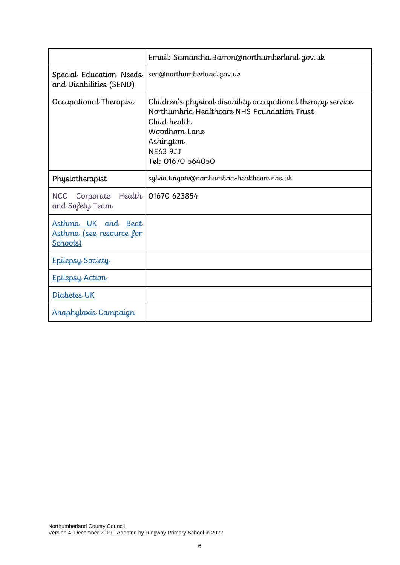|                                                            | Email: Samantha.Barron@northumberland.gov.uk                                                                                                                                                     |
|------------------------------------------------------------|--------------------------------------------------------------------------------------------------------------------------------------------------------------------------------------------------|
| Special Education Needs<br>and Disabilities (SEND)         | sen@northumberland.gov.uk                                                                                                                                                                        |
| Occupational Therapist                                     | Children's physical disability occupational therapy service<br>Northumbria Healthcare NHS Foundation Trust<br>Child health<br>Woodhorn Lane<br>Ashington<br><b>NE63 9JJ</b><br>Tel: 01670 564050 |
| Physiotherapist                                            | sylvia.tingate@northumbria-healthcare.nhs.uk                                                                                                                                                     |
| NCC Corporate Health   01670 623854<br>and Safety Team     |                                                                                                                                                                                                  |
| Asthma UK and Beat<br>Asthma (see resource for<br>Schools) |                                                                                                                                                                                                  |
| Epilepsy Society                                           |                                                                                                                                                                                                  |
| <b>Epilepsy Action</b>                                     |                                                                                                                                                                                                  |
| Diabetes UK                                                |                                                                                                                                                                                                  |
| Anaphylaxis Campaign                                       |                                                                                                                                                                                                  |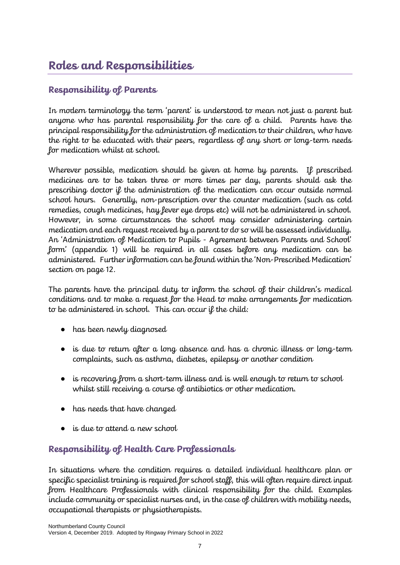# <span id="page-7-0"></span>**Roles and Responsibilities**

# <span id="page-7-1"></span>**Responsibility of Parents**

In modern terminology the term 'parent' is understood to mean not just a parent but anyone who has parental responsibility for the care of a child. Parents have the principal responsibility for the administration of medication to their children, who have the right to be educated with their peers, regardless of any short or long-term needs for medication whilst at school.

Wherever possible, medication should be given at home by parents. If prescribed medicines are to be taken three or more times per day, parents should ask the prescribing doctor if the administration of the medication can occur outside normal school hours. Generally, non-prescription over the counter medication (such as cold remedies, cough medicines, hay fever eye drops etc) will not be administered in school. However, in some circumstances the school may consider administering certain medication and each request received by a parent to do so will be assessed individually. An 'Administration of Medication to Pupils - Agreement between Parents and School' form' (appendix 1) will be required in all cases before any medication can be administered. Further information can be found within the 'Non-Prescribed Medication' section on page 12.

The parents have the principal duty to inform the school of their children's medical conditions and to make a request for the Head to make arrangements for medication to be administered in school. This can occur if the child:

- has been newly diagnosed
- is due to return after a long absence and has a chronic illness or long-term complaints, such as asthma, diabetes, epilepsy or another condition
- is recovering from a short-term illness and is well enough to return to school whilst still receiving a course of antibiotics or other medication.
- has needs that have changed
- is due to attend a new school

# <span id="page-7-2"></span>**Responsibility of Health Care Professionals**

In situations where the condition requires a detailed individual healthcare plan or specific specialist training is required for school staff, this will often require direct input from Healthcare Professionals with clinical responsibility for the child. Examples include community or specialist nurses and, in the case of children with mobility needs, occupational therapists or physiotherapists.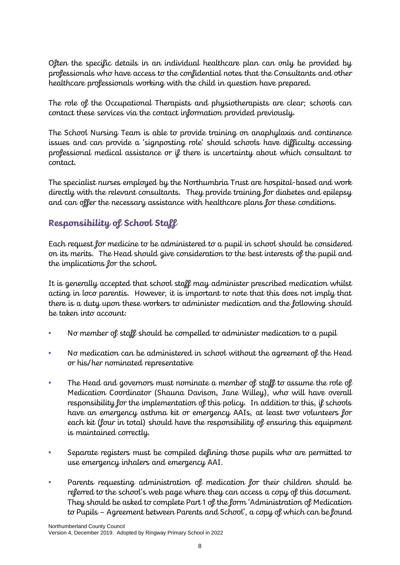Often the specific details in an individual healthcare plan can only be provided by professionals who have access to the confidential notes that the Consultants and other healthcare professionals working with the child in question have prepared.

The role of the Occupational Therapists and physiotherapists are clear; schools can contact these services via the contact information provided previously.

The School Nursing Team is able to provide training on anaphylaxis and continence issues and can provide a 'signposting role' should schools have difficulty accessing professional medical assistance or if there is uncertainty about which consultant to contact.

The specialist nurses employed by the Northumbria Trust are hospital-based and work directly with the relevant consultants. They provide training for diabetes and epilepsy and can offer the necessary assistance with healthcare plans for these conditions.

# <span id="page-8-0"></span>**Responsibility of School Staff**

Each request for medicine to be administered to a pupil in school should be considered on its merits. The Head should give consideration to the best interests of the pupil and the implications for the school.

It is generally accepted that school staff may administer prescribed medication whilst acting in loco parentis. However, it is important to note that this does not imply that there is a duty upon these workers to administer medication and the following should be taken into account:

- No member of staff should be compelled to administer medication to a pupil
- No medication can be administered in school without the agreement of the Head or his/her nominated representative
- The Head and governors must nominate a member of staff to assume the role of Medication Coordinator (Shauna Davison, Jane Willey), who will have overall responsibility for the implementation of this policy. In addition to this, if schools have an emergency asthma kit or emergency AAIs, at least two volunteers for each kit (four in total) should have the responsibility of ensuring this equipment is maintained correctly.
- Separate registers must be compiled defining those pupils who are permitted to use emergency inhalers and emergency AAI.
- Parents requesting administration of medication for their children should be referred to the school's web page where they can access a copy of this document. They should be asked to complete Part 1 of the form 'Administration of Medication to Pupils – Agreement between Parents and School', a copy of which can be found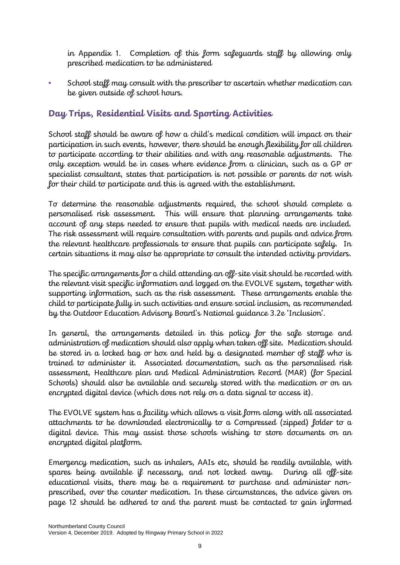in Appendix 1. Completion of this form safeguards staff by allowing only prescribed medication to be administered

School staff may consult with the prescriber to ascertain whether medication can be given outside of school hours.

# <span id="page-9-0"></span>**Day Trips, Residential Visits and Sporting Activities**

School staff should be aware of how a child's medical condition will impact on their participation in such events, however, there should be enough flexibility for all children to participate according to their abilities and with any reasonable adjustments. The only exception would be in cases where evidence from a clinician, such as a GP or specialist consultant, states that participation is not possible or parents do not wish for their child to participate and this is agreed with the establishment.

To determine the reasonable adjustments required, the school should complete a personalised risk assessment. This will ensure that planning arrangements take account of any steps needed to ensure that pupils with medical needs are included. The risk assessment will require consultation with parents and pupils and advice from the relevant healthcare professionals to ensure that pupils can participate safely. In certain situations it may also be appropriate to consult the intended activity providers.

The specific arrangements for a child attending an off-site visit should be recorded with the relevant visit specific information and logged on the EVOLVE system, together with supporting information, such as the risk assessment. These arrangements enable the child to participate fully in such activities and ensure social inclusion, as recommended by the Outdoor Education Advisory Board's National guidance 3.2e 'Inclusion'.

In general, the arrangements detailed in this policy for the safe storage and administration of medication should also apply when taken off site. Medication should be stored in a locked bag or box and held by a designated member of staff who is trained to administer it. Associated documentation, such as the personalised risk assessment, Healthcare plan and Medical Administration Record (MAR) (for Special Schools) should also be available and securely stored with the medication or on an encrypted digital device (which does not rely on a data signal to access it).

The EVOLVE system has a facility which allows a visit form along with all associated attachments to be downloaded electronically to a Compressed (zipped) folder to a digital device. This may assist those schools wishing to store documents on an encrypted digital platform.

Emergency medication, such as inhalers, AAIs etc, should be readily available, with spares being available if necessary, and not locked away. During all off-site educational visits, there may be a requirement to purchase and administer nonprescribed, over the counter medication. In these circumstances, the advice given on page 12 should be adhered to and the parent must be contacted to gain informed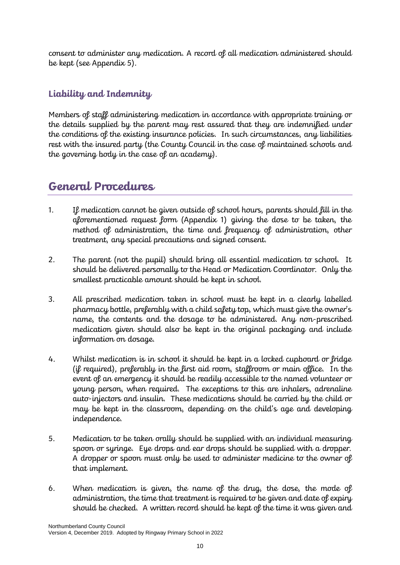consent to administer any medication. A record of all medication administered should be kept (see Appendix 5).

# <span id="page-10-0"></span>**Liability and Indemnity**

Members of staff administering medication in accordance with appropriate training or the details supplied by the parent may rest assured that they are indemnified under the conditions of the existing insurance policies. In such circumstances, any liabilities rest with the insured party (the County Council in the case of maintained schools and the governing body in the case of an academy).

# <span id="page-10-1"></span>**General Procedures**

- 1. If medication cannot be given outside of school hours, parents should fill in the aforementioned request form (Appendix 1) giving the dose to be taken, the method of administration, the time and frequency of administration, other treatment, any special precautions and signed consent.
- 2. The parent (not the pupil) should bring all essential medication to school. It should be delivered personally to the Head or Medication Coordinator. Only the smallest practicable amount should be kept in school.
- 3. All prescribed medication taken in school must be kept in a clearly labelled pharmacy bottle, preferably with a child safety top, which must give the owner's name, the contents and the dosage to be administered. Any non-prescribed medication given should also be kept in the original packaging and include information on dosage.
- 4. Whilst medication is in school it should be kept in a locked cupboard or fridge (if required), preferably in the first aid room, staffroom or main office. In the event of an emergency it should be readily accessible to the named volunteer or young person, when required. The exceptions to this are inhalers, adrenaline auto-injectors and insulin. These medications should be carried by the child or may be kept in the classroom, depending on the child's age and developing independence.
- 5. Medication to be taken orally should be supplied with an individual measuring spoon or syringe. Eye drops and ear drops should be supplied with a dropper. A dropper or spoon must only be used to administer medicine to the owner of that implement.
- 6. When medication is given, the name of the drug, the dose, the mode of administration, the time that treatment is required to be given and date of expiry should be checked. A written record should be kept of the time it was given and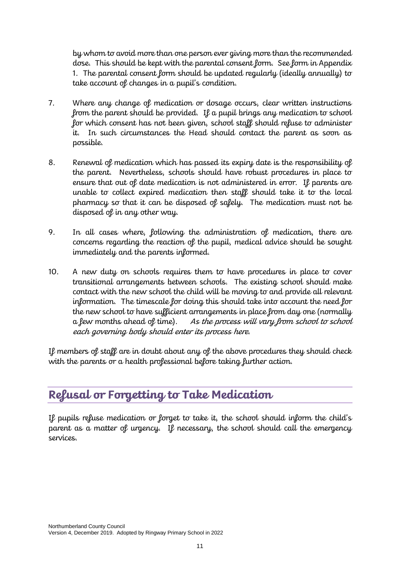by whom to avoid more than one person ever giving more than the recommended dose. This should be kept with the parental consent form. See form in Appendix 1. The parental consent form should be updated regularly (ideally annually) to take account of changes in a pupil's condition.

- 7. Where any change of medication or dosage occurs, clear written instructions from the parent should be provided. If a pupil brings any medication to school for which consent has not been given, school staff should refuse to administer it. In such circumstances the Head should contact the parent as soon as possible.
- 8. Renewal of medication which has passed its expiry date is the responsibility of the parent. Nevertheless, schools should have robust procedures in place to ensure that out of date medication is not administered in error. If parents are unable to collect expired medication then staff should take it to the local pharmacy so that it can be disposed of safely. The medication must not be disposed of in any other way.
- 9. In all cases where, following the administration of medication, there are concerns regarding the reaction of the pupil, medical advice should be sought immediately and the parents informed.
- 10. A new duty on schools requires them to have procedures in place to cover transitional arrangements between schools. The existing school should make contact with the new school the child will be moving to and provide all relevant information. The timescale for doing this should take into account the need for the new school to have sufficient arrangements in place from day one (normally a few months ahead of time). As the process will vary from school to school each governing body should enter its process here.

If members of staff are in doubt about any of the above procedures they should check with the parents or a health professional before taking further action.

# <span id="page-11-0"></span>**Refusal or Forgetting to Take Medication**

<span id="page-11-1"></span>If pupils refuse medication or forget to take it, the school should inform the child's parent as a matter of urgency. If necessary, the school should call the emergency services.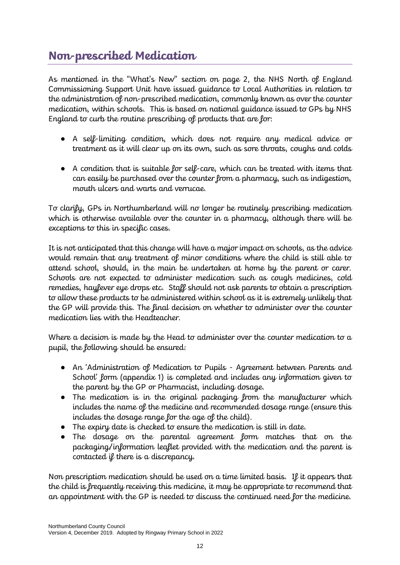# **Non-prescribed Medication**

As mentioned in the "What's New" section on page 2, the NHS North of England Commissioning Support Unit have issued guidance to Local Authorities in relation to the administration of non-prescribed medication, commonly known as over the counter medication, within schools. This is based on national guidance issued to GPs by NHS England to curb the routine prescribing of products that are for:

- A self-limiting condition, which does not require any medical advice or treatment as it will clear up on its own, such as sore throats, coughs and colds
- A condition that is suitable for self-care, which can be treated with items that can easily be purchased over the counter from a pharmacy, such as indigestion, mouth ulcers and warts and verrucae.

To clarify, GPs in Northumberland will no longer be routinely prescribing medication which is otherwise available over the counter in a pharmacy, although there will be exceptions to this in specific cases.

It is not anticipated that this change will have a major impact on schools, as the advice would remain that any treatment of minor conditions where the child is still able to attend school, should, in the main be undertaken at home by the parent or carer. Schools are not expected to administer medication such as cough medicines, cold remedies, hayfever eye drops etc. Staff should not ask parents to obtain a prescription to allow these products to be administered within school as it is extremely unlikely that the GP will provide this. The final decision on whether to administer over the counter medication lies with the Headteacher.

Where a decision is made by the Head to administer over the counter medication to a pupil, the following should be ensured:

- An 'Administration of Medication to Pupils Agreement between Parents and School' form (appendix 1) is completed and includes any information given to the parent by the GP or Pharmacist, including dosage.
- The medication is in the original packaging from the manufacturer which includes the name of the medicine and recommended dosage range (ensure this includes the dosage range for the age of the child).
- The expiry date is checked to ensure the medication is still in date.
- The dosage on the parental agreement form matches that on the packaging/information leaflet provided with the medication and the parent is contacted if there is a discrepancy.

Non prescription medication should be used on a time limited basis. If it appears that the child is frequently receiving this medicine, it may be appropriate to recommend that an appointment with the GP is needed to discuss the continued need for the medicine.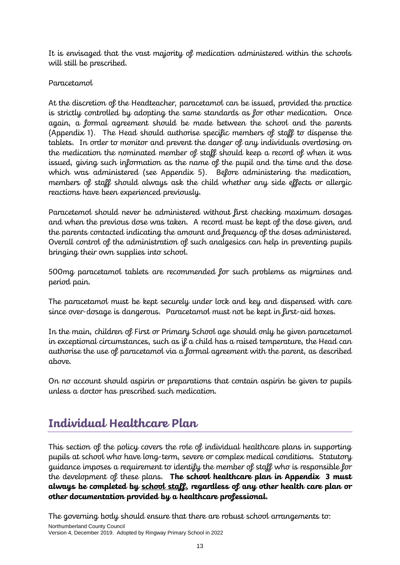It is envisaged that the vast majority of medication administered within the schools will still be prescribed.

#### Paracetamol

At the discretion of the Headteacher, paracetamol can be issued, provided the practice is strictly controlled by adopting the same standards as for other medication. Once again, a formal agreement should be made between the school and the parents (Appendix 1). The Head should authorise specific members of staff to dispense the tablets. In order to monitor and prevent the danger of any individuals overdosing on the medication the nominated member of staff should keep a record of when it was issued, giving such information as the name of the pupil and the time and the dose which was administered (see Appendix 5). Before administering the medication, members of staff should always ask the child whether any side effects or allergic reactions have been experienced previously.

Paracetemol should never be administered without first checking maximum dosages and when the previous dose was taken. A record must be kept of the dose given, and the parents contacted indicating the amount and frequency of the doses administered. Overall control of the administration of such analgesics can help in preventing pupils bringing their own supplies into school.

500mg paracetamol tablets are recommended for such problems as migraines and period pain.

The paracetamol must be kept securely under lock and key and dispensed with care since over-dosage is dangerous. Paracetamol must not be kept in first-aid boxes.

In the main, children of First or Primary School age should only be given paracetamol in exceptional circumstances, such as  $\mathbf{i}\beta$  a child has a raised temperature, the Head can authorise the use of paracetamol via a formal agreement with the parent, as described above.

On no account should aspirin or preparations that contain aspirin be given to pupils unless a doctor has prescribed such medication.

# <span id="page-13-0"></span>**Individual Healthcare Plan**

This section of the policy covers the role of individual healthcare plans in supporting pupils at school who have long-term, severe or complex medical conditions. Statutory guidance imposes a requirement to identify the member of staff who is responsible for the development of these plans. **The school healthcare plan in Appendix 3 must always be completed by school staff, regardless of any other health care plan or other documentation provided by a healthcare professional.**

Northumberland County Council Version 4, December 2019. Adopted by Ringway Primary School in 2022 The governing body should ensure that there are robust school arrangements to: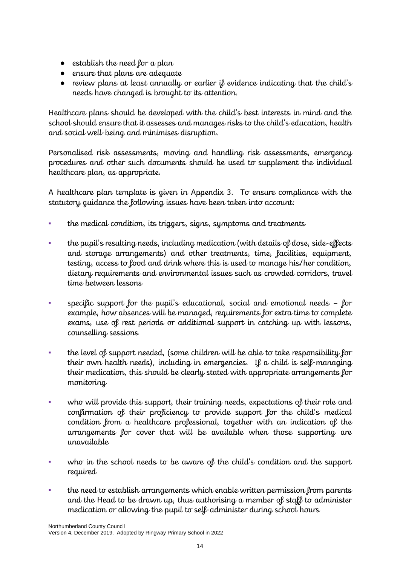- $\bullet$  establish the need for a plan
- ensure that plans are adequate
- review plans at least annually or earlier if evidence indicating that the child's needs have changed is brought to its attention.

Healthcare plans should be developed with the child's best interests in mind and the school should ensure that it assesses and manages risks to the child's education, health and social well-being and minimises disruption.

Personalised risk assessments, moving and handling risk assessments, emergency procedures and other such documents should be used to supplement the individual healthcare plan, as appropriate.

A healthcare plan template is given in Appendix 3. To ensure compliance with the statutory guidance the following issues have been taken into account:

- the medical condition, its triggers, signs, symptoms and treatments
- the pupil's resulting needs, including medication (with details of dose, side-effects and storage arrangements) and other treatments, time, facilities, equipment, testing, access to food and drink where this is used to manage his/her condition, dietary requirements and environmental issues such as crowded corridors, travel time between lessons
- specific support for the pupil's educational, social and emotional needs  $-$  for example, how absences will be managed, requirements for extra time to complete exams, use of rest periods or additional support in catching up with lessons, counselling sessions
- the level of support needed, (some children will be able to take responsibility for their own health needs), including in emergencies. If a child is self-managing their medication, this should be clearly stated with appropriate arrangements for monitoring
- who will provide this support, their training needs, expectations of their role and confirmation of their proficiency to provide support for the child's medical condition from a healthcare professional, together with an indication of the arrangements for cover that will be available when those supporting are unavailable
- who in the school needs to be aware of the child's condition and the support required
- the need to establish arrangements which enable written permission from parents and the Head to be drawn up, thus authorising a member of staff to administer medication or allowing the pupil to self-administer during school hours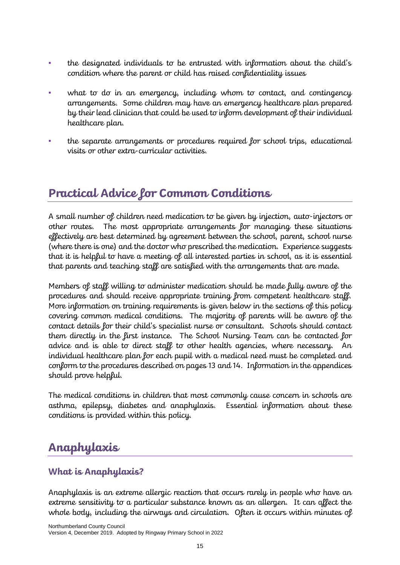- the designated individuals to be entrusted with information about the child's condition where the parent or child has raised confidentiality issues
- what to do in an emergency, including whom to contact, and contingency arrangements. Some children may have an emergency healthcare plan prepared by their lead clinician that could be used to inform development of their individual healthcare plan.
- the separate arrangements or procedures required for school trips, educational visits or other extra-curricular activities.

# <span id="page-15-0"></span>**Practical Advice for Common Conditions**

A small number of children need medication to be given by injection, auto-injectors or other routes. The most appropriate arrangements for managing these situations effectively are best determined by agreement between the school, parent, school nurse (where there is one) and the doctor who prescribed the medication. Experience suggests that it is helpful to have a meeting of all interested parties in school, as it is essential that parents and teaching staff are satisfied with the arrangements that are made.

Members of staff willing to administer medication should be made fully aware of the procedures and should receive appropriate training from competent healthcare staff. More information on training requirements is given below in the sections of this policy covering common medical conditions. The majority of parents will be aware of the contact details for their child's specialist nurse or consultant. Schools should contact them directly in the first instance. The School Nursing Team can be contacted for advice and is able to direct staff to other health agencies, where necessary. An individual healthcare plan for each pupil with a medical need must be completed and conform to the procedures described on pages 13 and 14. Information in the appendices should prove helpful.

The medical conditions in children that most commonly cause concern in schools are asthma, epilepsy, diabetes and anaphylaxis. Essential information about these conditions is provided within this policy.

# <span id="page-15-1"></span>**Anaphylaxis**

# **What is Anaphylaxis?**

Anaphylaxis is an extreme allergic reaction that occurs rarely in people who have an extreme sensitivity to a particular substance known as an allergen. It can affect the whole body, including the airways and circulation. Often it occurs within minutes of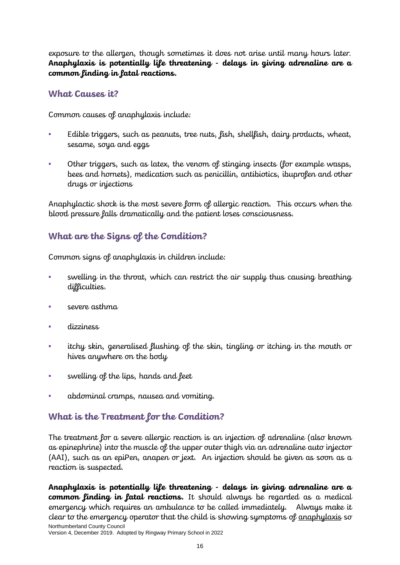exposure to the allergen, though sometimes it does not arise until many hours later. **Anaphylaxis is potentially life threatening - delays in giving adrenaline are a common finding in fatal reactions.**

#### **What Causes it?**

Common causes of anaphylaxis include:

- Edible triggers, such as peanuts, tree nuts, fish, shellfish, dairy products, wheat, sesame, soya and eggs
- Other triggers, such as latex, the venom of stinging insects (for example wasps, bees and hornets), medication such as penicillin, antibiotics, ibuprofen and other drugs or injections

Anaphylactic shock is the most severe form of allergic reaction. This occurs when the blood pressure falls dramatically and the patient loses consciousness.

# **What are the Signs of the Condition?**

Common signs of anaphylaxis in children include:

- swelling in the throat, which can restrict the air supply thus causing breathing difficulties.
- severe asthma
- dizziness
- itchy skin, generalised flushing of the skin, tingling or itching in the mouth or hives anywhere on the body
- swelling of the lips, hands and feet
- abdominal cramps, nausea and vomiting.

# **What is the Treatment for the Condition?**

The treatment for a severe allergic reaction is an injection of adrenaline (also known as epinephrine) into the muscle of the upper outer thigh via an adrenaline auto injector (AAI), such as an epiPen, anapen or jext. An injection should be given as soon as a reaction is suspected.

Northumberland County Council **Anaphylaxis is potentially life threatening - delays in giving adrenaline are a common finding in fatal reactions.** It should always be regarded as a medical emergency which requires an ambulance to be called immediately. Always make it clear to the emergency operator that the child is showing symptoms of anaphylaxis so

Version 4, December 2019. Adopted by Ringway Primary School in 2022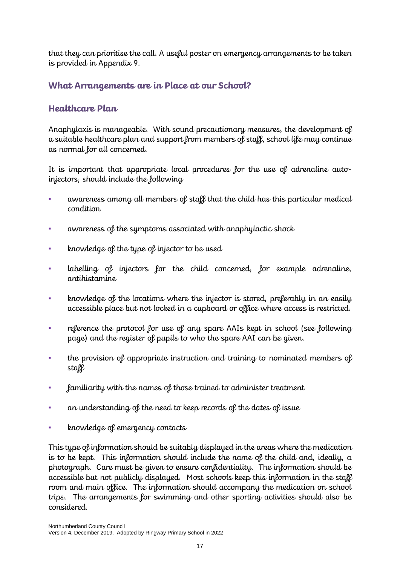that they can prioritise the call. A useful poster on emergency arrangements to be taken is provided in Appendix 9.

## **What Arrangements are in Place at our School?**

# **Healthcare Plan**

Anaphylaxis is manageable. With sound precautionary measures, the development of a suitable healthcare plan and support from members of staff, school life may continue as normal for all concerned.

It is important that appropriate local procedures for the use of adrenaline autoinjectors, should include the following

- awareness among all members of staff that the child has this particular medical condition
- awareness of the symptoms associated with anaphylactic shock
- knowledge of the type of injector to be used
- labelling of injectors for the child concerned, for example adrenaline, antihistamine
- knowledge of the locations where the injector is stored, preferably in an easily accessible place but not locked in a cupboard or office where access is restricted.
- reference the protocol for use of any spare AAIs kept in school (see following page) and the register of pupils to who the spare AAI can be given.
- the provision of appropriate instruction and training to nominated members of staff
- familiarity with the names of those trained to administer treatment
- an understanding of the need to keep records of the dates of issue
- knowledge of emergency contacts

This type of information should be suitably displayed in the areas where the medication is to be kept. This information should include the name of the child and, ideally, a photograph. Care must be given to ensure confidentiality. The information should be accessible but not publicly displayed. Most schools keep this information in the staff room and main office. The information should accompany the medication on school trips. The arrangements for swimming and other sporting activities should also be considered.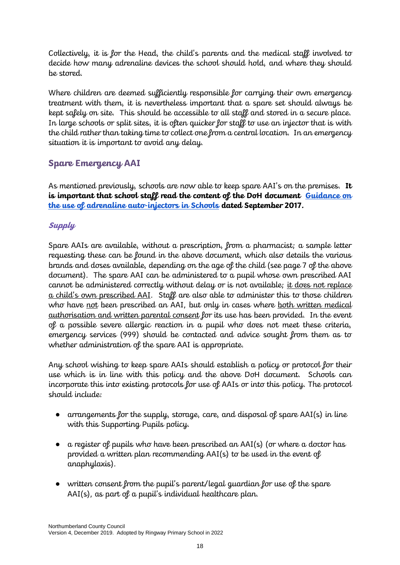Collectively, it is for the Head, the child's parents and the medical staff involved to decide how many adrenaline devices the school should hold, and where they should be stored.

Where children are deemed sufficiently responsible for carrying their own emergency treatment with them, it is nevertheless important that a spare set should always be kept safely on site. This should be accessible to all staff and stored in a secure place. In large schools or split sites, it is often quicker for staff to use an injector that is with the child rather than taking time to collect one from a central location. In an emergency situation it is important to avoid any delay.

# <span id="page-18-0"></span>**Spare Emergency AAI**

As mentioned previously, schools are now able to keep spare AAI's on the premises. **It is important that school staff read the content of the DoH document [Guidance on](https://assets.publishing.service.gov.uk/government/uploads/system/uploads/attachment_data/file/645476/Adrenaline_auto_injectors_in_schools.pdf)  [the use of adrenaline auto-injectors in Schools](https://assets.publishing.service.gov.uk/government/uploads/system/uploads/attachment_data/file/645476/Adrenaline_auto_injectors_in_schools.pdf) dated September 2017.**

## **Supply**

Spare AAIs are available, without a prescription, from a pharmacist; a sample letter requesting these can be found in the above document, which also details the various brands and doses available, depending on the age of the child (see page 7 of the above document). The spare AAI can be administered to a pupil whose own prescribed AAI cannot be administered correctly without delay or is not available; it does not replace a child's own prescribed AAI. Staff are also able to administer this to those children who have not been prescribed an AAI, but only in cases where both written medical authorisation and written parental consent for its use has been provided. In the event of a possible severe allergic reaction in a pupil who does not meet these criteria, emergency services (999) should be contacted and advice sought from them as to whether administration of the spare AAI is appropriate.

Any school wishing to keep spare AAIs should establish a policy or protocol for their use which is in line with this policy and the above DoH document. Schools can incorporate this into existing protocols for use of AAIs or into this policy. The protocol should include:

- arrangements for the supply, storage, care, and disposal of spare AAI(s) in line with this Supporting Pupils policy.
- $\bullet$  a register of pupils who have been prescribed an AAI(s) (or where a doctor has provided a written plan recommending AAI(s) to be used in the event of anaphylaxis).
- written consent from the pupil's parent/legal guardian for use of the spare AAI(s), as part of a pupil's individual healthcare plan.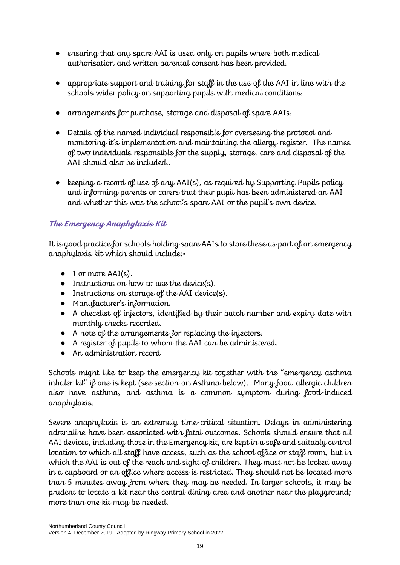- ensuring that any spare AAI is used only on pupils where both medical authorisation and written parental consent has been provided.
- appropriate support and training for staff in the use of the AAI in line with the schools wider policy on supporting pupils with medical conditions.
- arrangements for purchase, storage and disposal of spare AAIs.
- Details of the named individual responsible for overseeing the protocol and monitoring it's implementation and maintaining the allergy register. The names of two individuals responsible for the supply, storage, care and disposal of the AAI should also be included..
- keeping a record of use of any  $AAI(s)$ , as required by Supporting Pupils policy and informing parents or carers that their pupil has been administered an AAI and whether this was the school's spare AAI or the pupil's own device.

#### **The Emergency Anaphylaxis Kit**

It is good practice for schools holding spare AAIs to store these as part of an emergency anaphylaxis kit which should include:•

- $\bullet$  1 or more AAI(s).
- Instructions on how to use the device(s).
- Instructions on storage of the AAI device(s).
- Manufacturer's information.
- A checklist of injectors, identified by their batch number and expiry date with monthly checks recorded.
- A note of the arrangements for replacing the injectors.
- A register of pupils to whom the AAI can be administered.
- An administration record

Schools might like to keep the emergency kit together with the "emergency asthma inhaler kit" if one is kept (see section on Asthma below). Many food-allergic children also have asthma, and asthma is a common symptom during food-induced anaphylaxis.

Severe anaphylaxis is an extremely time-critical situation. Delays in administering adrenaline have been associated with fatal outcomes. Schools should ensure that all AAI devices, including those in the Emergency kit, are kept in a safe and suitably central location to which all staff have access, such as the school office or staff room, but in which the AAI is out of the reach and sight of children. They must not be locked away in a cupboard or an office where access is restricted. They should not be located more than 5 minutes away from where they may be needed. In larger schools, it may be prudent to locate a kit near the central dining area and another near the playground; more than one kit may be needed.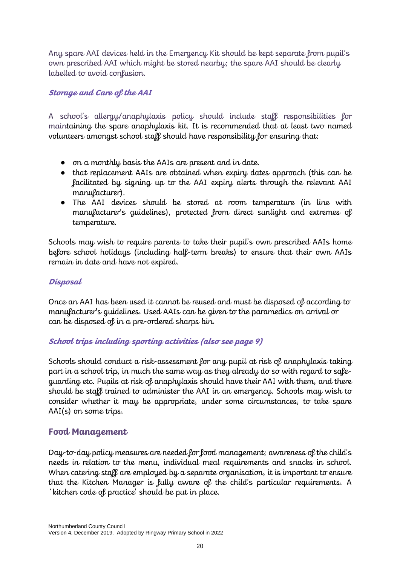Any spare AAI devices held in the Emergency Kit should be kept separate from pupil's own prescribed AAI which might be stored nearby; the spare AAI should be clearly labelled to avoid confusion.

#### **Storage and Care of the AAI**

A school's allergy/anaphylaxis policy should include staff responsibilities for maintaining the spare anaphylaxis kit. It is recommended that at least two named volunteers amongst school staff should have responsibility for ensuring that:

- on a monthly basis the AAIs are present and in date.
- that replacement AAIs are obtained when expiry dates approach (this can be facilitated by signing up to the AAI expiry alerts through the relevant AAI manufacturer).
- The AAI devices should be stored at room temperature (in line with manufacturer's guidelines), protected from direct sunlight and extremes of temperature.

Schools may wish to require parents to take their pupil's own prescribed AAIs home before school holidays (including half-term breaks) to ensure that their own AAIs remain in date and have not expired.

#### **Disposal**

Once an AAI has been used it cannot be reused and must be disposed of according to manufacturer's guidelines. Used AAIs can be given to the paramedics on arrival or can be disposed of in a pre-ordered sharps bin.

#### **School trips including sporting activities (also see page 9)**

Schools should conduct a risk-assessment for any pupil at risk of anaphylaxis taking part in a school trip, in much the same way as they already do so with regard to safeguarding etc. Pupils at risk of anaphylaxis should have their AAI with them, and there should be staff trained to administer the AAI in an emergency. Schools may wish to consider whether it may be appropriate, under some circumstances, to take spare AAI(s) on some trips.

#### **Food Management**

Day-to-day policy measures are needed for food management; awareness of the child's needs in relation to the menu, individual meal requirements and snacks in school. When catering staff are employed by a separate organisation, it is important to ensure that the Kitchen Manager is fully aware of the child's particular requirements. A `kitchen code of practice' should be put in place.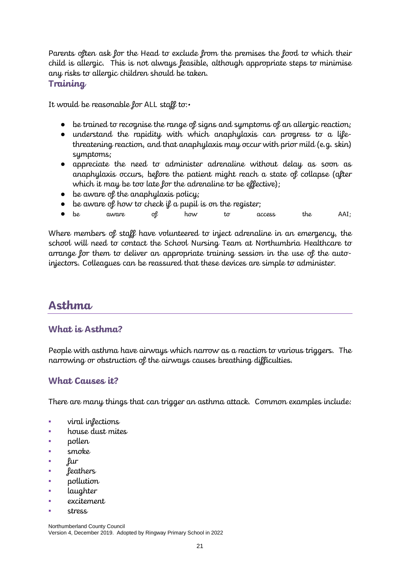Parents often ask for the Head to exclude from the premises the food to which their child is allergic. This is not always feasible, although appropriate steps to minimise any risks to allergic children should be taken. **Training**

It would be reasonable for ALL staff to:•

- be trained to recognise the range of signs and symptoms of an allergic reaction;
- understand the rapidity with which anaphylaxis can progress to a lifethreatening reaction, and that anaphylaxis may occur with prior mild (e.g. skin) symptoms;
- appreciate the need to administer adrenaline without delay as soon as anaphylaxis occurs, before the patient might reach a state of collapse (after which it may be too late for the adrenaline to be effective);
- $\bullet$  be aware of the anaphylaxis policy;
- $\bullet$  be aware of how to check if a pupil is on the register;
- be aware of how to access the AAI;

Where members of staff have volunteered to inject adrenaline in an emergency, the school will need to contact the School Nursing Team at Northumbria Healthcare to arrange for them to deliver an appropriate training session in the use of the autoinjectors. Colleagues can be reassured that these devices are simple to administer.

# <span id="page-21-0"></span>**Asthma**

#### **What is Asthma?**

People with asthma have airways which narrow as a reaction to various triggers. The narrowing or obstruction of the airways causes breathing difficulties.

#### **What Causes it?**

There are many things that can trigger an asthma attack. Common examples include:

- viral infections
- house dust mites
- pollen
- smoke
- fur
- feathers
- pollution
- laughter
- excitement
- stress

Northumberland County Council Version 4, December 2019. Adopted by Ringway Primary School in 2022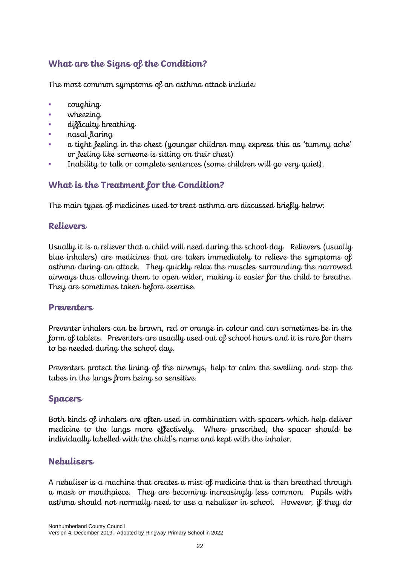# **What are the Signs of the Condition?**

The most common symptoms of an asthma attack include:

- coughing
- wheezing
- difficulty breathing
- nasal flaring
- a tight feeling in the chest (younger children may express this as 'tummy ache' or feeling like someone is sitting on their chest)
- Inability to talk or complete sentences (some children will go very quiet).

#### **What is the Treatment for the Condition?**

The main types of medicines used to treat asthma are discussed briefly below:

#### **Relievers**

Usually it is a reliever that a child will need during the school day. Relievers (usually blue inhalers) are medicines that are taken immediately to relieve the symptoms of asthma during an attack. They quickly relax the muscles surrounding the narrowed airways thus allowing them to open wider, making it easier for the child to breathe. They are sometimes taken before exercise.

#### **Preventers**

Preventer inhalers can be brown, red or orange in colour and can sometimes be in the form of tablets. Preventers are usually used out of school hours and it is rare for them to be needed during the school day.

Preventers protect the lining of the airways, help to calm the swelling and stop the tubes in the lungs from being so sensitive.

#### **Spacers**

Both kinds of inhalers are often used in combination with spacers which help deliver medicine to the lungs more effectively. Where prescribed, the spacer should be individually labelled with the child's name and kept with the inhaler.

#### **Nebulisers**

A nebuliser is a machine that creates a mist of medicine that is then breathed through a mask or mouthpiece. They are becoming increasingly less common. Pupils with asthma should not normally need to use a nebuliser in school. However, if they do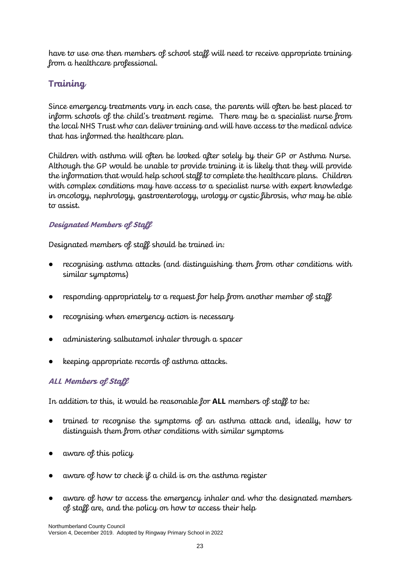have to use one then members of school staff will need to receive appropriate training from a healthcare professional.

# **Training**

Since emergency treatments vary in each case, the parents will often be best placed to inform schools of the child's treatment regime. There may be a specialist nurse from the local NHS Trust who can deliver training and will have access to the medical advice that has informed the healthcare plan.

Children with asthma will often be looked after solely by their GP or Asthma Nurse. Although the GP would be unable to provide training it is likely that they will provide the information that would help school staff to complete the healthcare plans. Children with complex conditions may have access to a specialist nurse with expert knowledge in oncology, nephrology, gastroenterology, urology or cystic fibrosis, who may be able to assist.

#### **Designated Members of Staff**

Designated members of staff should be trained in:

- recognising asthma attacks (and distinguishing them from other conditions with similar symptoms)
- responding appropriately to a request for help from another member of staff
- recognising when emergency action is necessary
- administering salbutamol inhaler through a spacer
- keeping appropriate records of asthma attacks.

#### **ALL Members of Staff**

In addition to this, it would be reasonable for **ALL** members of staff to be:

- trained to recognise the symptoms of an asthma attack and, ideally, how to distinguish them from other conditions with similar symptoms
- aware of this policy
- aware of how to check if a child is on the asthma register
- aware of how to access the emergency inhaler and who the designated members of staff are, and the policy on how to access their help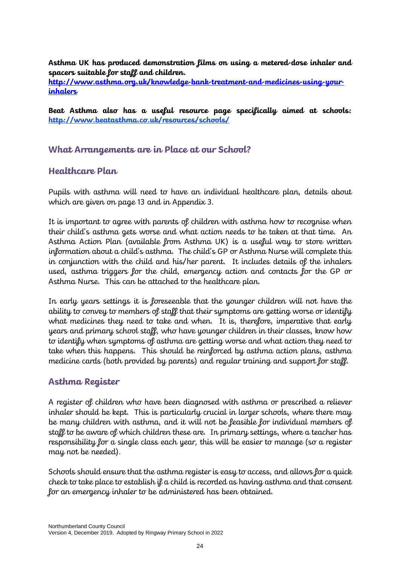**Asthma UK has produced demonstration films on using a metered-dose inhaler and spacers suitable for staff and children. [http://www.asthma.org.uk/knowledge-bank-treatment-and-medicines-using-your](http://www.asthma.org.uk/knowledge-bank-treatment-and-medicines-using-your-inhalers)[inhalers](http://www.asthma.org.uk/knowledge-bank-treatment-and-medicines-using-your-inhalers)**

**Beat Asthma also has a useful resource page specifically aimed at schools: <http://www.beatasthma.co.uk/resources/schools/>**

#### **What Arrangements are in Place at our School?**

#### **Healthcare Plan**

Pupils with asthma will need to have an individual healthcare plan, details about which are given on page 13 and in Appendix 3.

It is important to agree with parents of children with asthma how to recognise when their child's asthma gets worse and what action needs to be taken at that time. An Asthma Action Plan (available from Asthma UK) is a useful way to store written information about a child's asthma. The child's GP or Asthma Nurse will complete this in conjunction with the child and his/her parent. It includes details of the inhalers used, asthma triggers for the child, emergency action and contacts for the GP or Asthma Nurse. This can be attached to the healthcare plan.

In early years settings it is foreseeable that the younger children will not have the ability to convey to members of staff that their symptoms are getting worse or identify what medicines they need to take and when. It is, therefore, imperative that early years and primary school staff, who have younger children in their classes, know how to identify when symptoms of asthma are getting worse and what action they need to take when this happens. This should be reinforced by asthma action plans, asthma medicine cards (both provided by parents) and regular training and support for staff.

#### **Asthma Register**

A register of children who have been diagnosed with asthma or prescribed a reliever inhaler should be kept. This is particularly crucial in larger schools, where there may be many children with asthma, and it will not be feasible for individual members of staff to be aware of which children these are. In primary settings, where a teacher has responsibility for a single class each year, this will be easier to manage (so a register may not be needed).

Schools should ensure that the asthma register is easy to access, and allows for a quick check to take place to establish if a child is recorded as having asthma and that consent for an emergency inhaler to be administered has been obtained.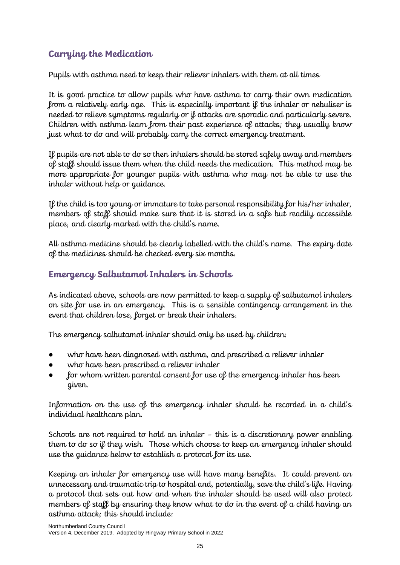# **Carrying the Medication**

Pupils with asthma need to keep their reliever inhalers with them at all times

It is good practice to allow pupils who have asthma to carry their own medication from a relatively early age. This is especially important if the inhaler or nebuliser is needed to relieve symptoms regularly or if attacks are sporadic and particularly severe. Children with asthma learn from their past experience of attacks; they usually know just what to do and will probably carry the correct emergency treatment.

If pupils are not able to do so then inhalers should be stored safely away and members of staff should issue them when the child needs the medication. This method may be more appropriate for younger pupils with asthma who may not be able to use the inhaler without help or guidance.

If the child is too young or immature to take personal responsibility for his/her inhaler, members of staff should make sure that it is stored in a safe but readily accessible place, and clearly marked with the child's name.

All asthma medicine should be clearly labelled with the child's name. The expiry date of the medicines should be checked every six months.

# <span id="page-25-0"></span>**Emergency Salbutamol Inhalers in Schools**

As indicated above, schools are now permitted to keep a supply of salbutamol inhalers on site for use in an emergency. This is a sensible contingency arrangement in the event that children lose, forget or break their inhalers.

The emergency salbutamol inhaler should only be used by children:

- who have been diagnosed with asthma, and prescribed a reliever inhaler
- who have been prescribed a reliever inhaler
- for whom written parental consent for use of the emergency inhaler has been given.

Information on the use of the emergency inhaler should be recorded in a child's individual healthcare plan.

Schools are not required to hold an inhaler – this is a discretionary power enabling them to do so if they wish. Those which choose to keep an emergency inhaler should use the guidance below to establish a protocol for its use.

Keeping an inhaler for emergency use will have many benefits. It could prevent an unnecessary and traumatic trip to hospital and, potentially, save the child's life. Having a protocol that sets out how and when the inhaler should be used will also protect members of staff by ensuring they know what to do in the event of a child having an asthma attack; this should include: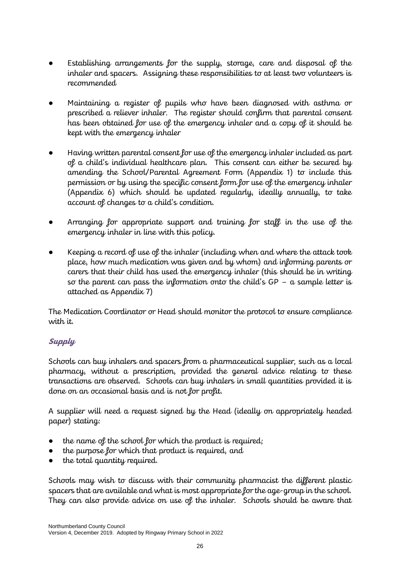- Establishing arrangements for the supply, storage, care and disposal of the inhaler and spacers. Assigning these responsibilities to at least two volunteers is recommended
- Maintaining a register of pupils who have been diagnosed with asthma or prescribed a reliever inhaler. The register should confirm that parental consent has been obtained for use of the emergency inhaler and a copy of it should be kept with the emergency inhaler
- Having written parental consent for use of the emergency inhaler included as part of a child's individual healthcare plan. This consent can either be secured by amending the School/Parental Agreement Form (Appendix 1) to include this permission or by using the specific consent form for use of the emergency inhaler (Appendix 6) which should be updated regularly, ideally annually, to take account of changes to a child's condition.
- Arranging for appropriate support and training for staff in the use of the emergency inhaler in line with this policy.
- Keeping a record of use of the inhaler (including when and where the attack took place, how much medication was given and by whom) and informing parents or carers that their child has used the emergency inhaler (this should be in writing so the parent can pass the information onto the child's  $GP - a$  sample letter is attached as Appendix 7)

The Medication Coordinator or Head should monitor the protocol to ensure compliance with it.

#### **Supply**

Schools can buy inhalers and spacers from a pharmaceutical supplier, such as a local pharmacy, without a prescription, provided the general advice relating to these transactions are observed. Schools can buy inhalers in small quantities provided it is done on an occasional basis and is not for profit.

A supplier will need a request signed by the Head (ideally on appropriately headed paper) stating:

- the name of the school for which the product is required;
- the purpose for which that product is required, and
- the total quantity required.

Schools may wish to discuss with their community pharmacist the different plastic spacers that are available and what is most appropriate for the age-group in the school. They can also provide advice on use of the inhaler. Schools should be aware that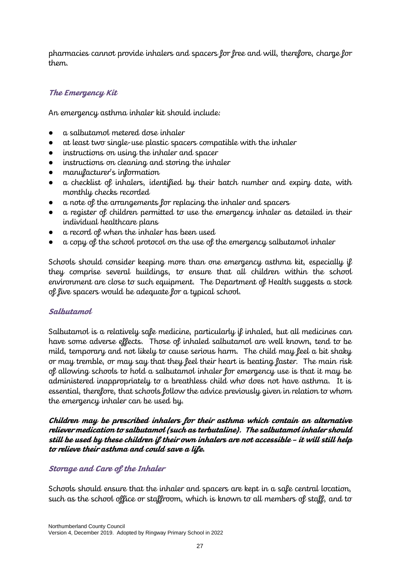pharmacies cannot provide inhalers and spacers for free and will, therefore, charge for them.

#### **The Emergency Kit**

An emergency asthma inhaler kit should include:

- a salbutamol metered dose inhaler
- at least two single-use plastic spacers compatible with the inhaler
- instructions on using the inhaler and spacer
- instructions on cleaning and storing the inhaler
- manufacturer's information
- a checklist of inhalers, identified by their batch number and expiry date, with monthly checks recorded
- a note of the arrangements for replacing the inhaler and spacers
- a register of children permitted to use the emergency inhaler as detailed in their individual healthcare plans
- a record of when the inhaler has been used
- a copy of the school protocol on the use of the emergency salbutamol inhaler

Schools should consider keeping more than one emergency asthma kit, especially if they comprise several buildings, to ensure that all children within the school environment are close to such equipment. The Department of Health suggests a stock of five spacers would be adequate for a typical school.

#### **Salbutamol**

Salbutamol is a relatively safe medicine, particularly if inhaled, but all medicines can have some adverse effects. Those of inhaled salbutamol are well known, tend to be mild, temporary and not likely to cause serious harm. The child may feel a bit shaky or may tremble, or may say that they feel their heart is beating faster. The main risk of allowing schools to hold a salbutamol inhaler for emergency use is that it may be administered inappropriately to a breathless child who does not have asthma. It is essential, therefore, that schools follow the advice previously given in relation to whom the emergency inhaler can be used by.

**Children may be prescribed inhalers for their asthma which contain an alternative reliever medication to salbutamol (such as terbutaline). The salbutamol inhaler should still be used by these children if their own inhalers are not accessible – it will still help to relieve their asthma and could save a life.**

#### **Storage and Care of the Inhaler**

Schools should ensure that the inhaler and spacers are kept in a safe central location, such as the school office or staffroom, which is known to all members of staff, and to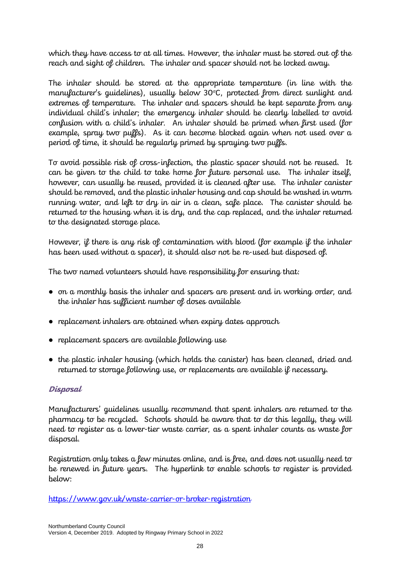which they have access to at all times. However, the inhaler must be stored out of the reach and sight of children. The inhaler and spacer should not be locked away.

The inhaler should be stored at the appropriate temperature (in line with the manufacturer's guidelines), usually below  $30^{\circ}$ C, protected from direct sunlight and extremes of temperature. The inhaler and spacers should be kept separate from any individual child's inhaler; the emergency inhaler should be clearly labelled to avoid confusion with a child's inhaler. An inhaler should be primed when first used (for example, spray two puffs). As it can become blocked again when not used over a period of time, it should be regularly primed by spraying two puffs.

To avoid possible risk of cross-infection, the plastic spacer should not be reused. It can be given to the child to take home for future personal use. The inhaler itself, however, can usually be reused, provided it is cleaned after use. The inhaler canister should be removed, and the plastic inhaler housing and cap should be washed in warm running water, and left to dry in air in a clean, safe place. The canister should be returned to the housing when it is dry, and the cap replaced, and the inhaler returned to the designated storage place.

However, if there is any risk of contamination with blood (for example if the inhaler has been used without a spacer), it should also not be re-used but disposed of.

The two named volunteers should have responsibility for ensuring that:

- on a monthly basis the inhaler and spacers are present and in working order, and the inhaler has sufficient number of doses available
- replacement inhalers are obtained when expiry dates approach
- replacement spacers are available following use
- the plastic inhaler housing (which holds the canister) has been cleaned, dried and returned to storage following use, or replacements are available if necessary.

#### **Disposal**

Manufacturers' guidelines usually recommend that spent inhalers are returned to the pharmacy to be recycled. Schools should be aware that to do this legally, they will need to register as a lower-tier waste carrier, as a spent inhaler counts as waste for disposal.

Registration only takes a few minutes online, and is free, and does not usually need to be renewed in future years. The hyperlink to enable schools to register is provided below:

<https://www.gov.uk/waste-carrier-or-broker-registration>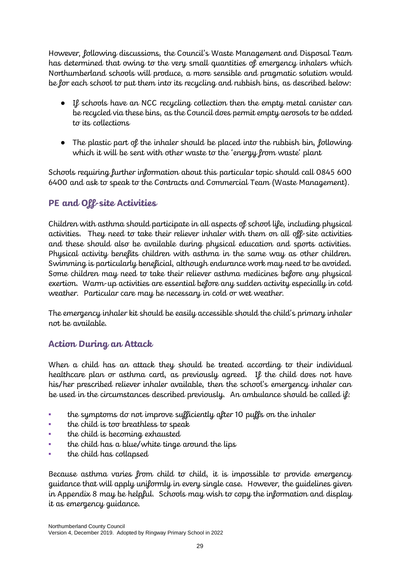However, following discussions, the Council's Waste Management and Disposal Team has determined that owing to the very small quantities of emergency inhalers which Northumberland schools will produce, a more sensible and pragmatic solution would be for each school to put them into its recycling and rubbish bins, as described below:

- If schools have an NCC recycling collection then the empty metal canister can be recycled via these bins, as the Council does permit empty aerosols to be added to its collections
- The plastic part of the inhaler should be placed into the rubbish bin, following which it will be sent with other waste to the 'energy from waste' plant

Schools requiring further information about this particular topic should call 0845 600 6400 and ask to speak to the Contracts and Commercial Team (Waste Management).

# **PE and Off-site Activities**

Children with asthma should participate in all aspects of school life, including physical activities. They need to take their reliever inhaler with them on all off-site activities and these should also be available during physical education and sports activities. Physical activity benefits children with asthma in the same way as other children. Swimming is particularly beneficial, although endurance work may need to be avoided. Some children may need to take their reliever asthma medicines before any physical exertion. Warm-up activities are essential before any sudden activity especially in cold weather. Particular care may be necessary in cold or wet weather.

The emergency inhaler kit should be easily accessible should the child's primary inhaler not be available.

#### **Action During an Attack**

When a child has an attack they should be treated according to their individual healthcare plan or asthma card, as previously agreed. If the child does not have his/her prescribed reliever inhaler available, then the school's emergency inhaler can be used in the circumstances described previously. An ambulance should be called if:

- the symptoms do not improve sufficiently after 10 puffs on the inhaler
- the child is too breathless to speak
- the child is becoming exhausted
- the child has a blue/white tinge around the lips
- the child has collapsed

Because asthma varies from child to child, it is impossible to provide emergency guidance that will apply uniformly in every single case. However, the guidelines given in Appendix 8 may be helpful. Schools may wish to copy the information and display it as emergency guidance.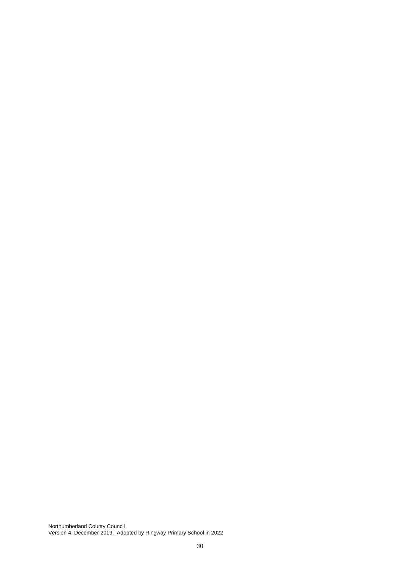Northumberland County Council Version 4, December 2019. Adopted by Ringway Primary School in 2022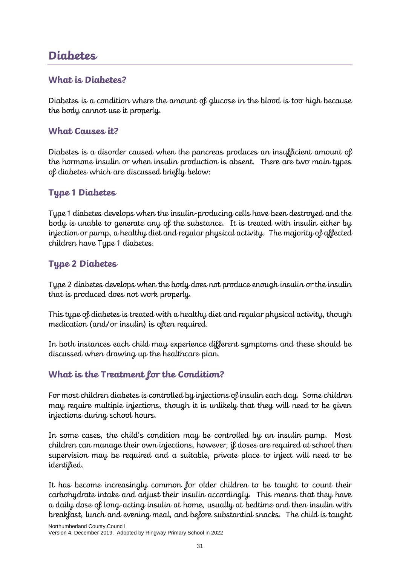# <span id="page-31-0"></span>**Diabetes**

## **What is Diabetes?**

Diabetes is a condition where the amount of glucose in the blood is too high because the body cannot use it properly.

#### **What Causes it?**

Diabetes is a disorder caused when the pancreas produces an insufficient amount of the hormone insulin or when insulin production is absent. There are two main types of diabetes which are discussed briefly below:

#### **Type 1 Diabetes**

Type 1 diabetes develops when the insulin-producing cells have been destroyed and the body is unable to generate any of the substance. It is treated with insulin either by injection or pump, a healthy diet and regular physical activity. The majority of affected children have Type 1 diabetes.

#### **Type 2 Diabetes**

Type 2 diabetes develops when the body does not produce enough insulin or the insulin that is produced does not work properly.

This type of diabetes is treated with a healthy diet and regular physical activity, though medication (and/or insulin) is often required.

In both instances each child may experience different symptoms and these should be discussed when drawing up the healthcare plan.

#### **What is the Treatment for the Condition?**

For most children diabetes is controlled by injections of insulin each day. Some children may require multiple injections, though it is unlikely that they will need to be given injections during school hours.

In some cases, the child's condition may be controlled by an insulin pump. Most children can manage their own injections, however, if doses are required at school then supervision may be required and a suitable, private place to inject will need to be identified.

It has become increasingly common for older children to be taught to count their carbohydrate intake and adjust their insulin accordingly. This means that they have a daily dose of long-acting insulin at home, usually at bedtime and then insulin with breakfast, lunch and evening meal, and before substantial snacks. The child is taught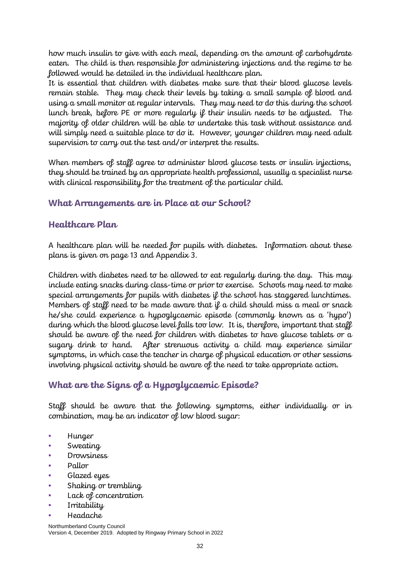how much insulin to give with each meal, depending on the amount of carbohydrate eaten. The child is then responsible for administering injections and the regime to be followed would be detailed in the individual healthcare plan.

It is essential that children with diabetes make sure that their blood glucose levels remain stable. They may check their levels by taking a small sample of blood and using a small monitor at regular intervals. They may need to do this during the school lunch break, before PE or more regularly if their insulin needs to be adjusted. The majority of older children will be able to undertake this task without assistance and will simply need a suitable place to do it. However, younger children may need adult supervision to carry out the test and/or interpret the results.

When members of staff agree to administer blood glucose tests or insulin injections, they should be trained by an appropriate health professional, usually a specialist nurse with clinical responsibility for the treatment of the particular child.

#### **What Arrangements are in Place at our School?**

#### **Healthcare Plan**

A healthcare plan will be needed for pupils with diabetes. Information about these plans is given on page 13 and Appendix 3.

Children with diabetes need to be allowed to eat regularly during the day. This may include eating snacks during class-time or prior to exercise. Schools may need to make special arrangements for pupils with diabetes if the school has staggered lunchtimes. Members of staff need to be made aware that if a child should miss a meal or snack he/she could experience a hypoglycaemic episode (commonly known as a 'hypo') during which the blood glucose level falls too low. It is, therefore, important that staff should be aware of the need for children with diabetes to have glucose tablets or a sugary drink to hand. After strenuous activity a child may experience similar symptoms, in which case the teacher in charge of physical education or other sessions involving physical activity should be aware of the need to take appropriate action.

# **What are the Signs of a Hypoglycaemic Episode?**

Staff should be aware that the following symptoms, either individually or in combination, may be an indicator of low blood sugar:

- **Hunger**
- Sweating
- **Drowsiness**
- Pallor
- Glazed eyes
- Shaking or trembling
- Lack of concentration
- **Irritability**
- Headache

Northumberland County Council Version 4, December 2019. Adopted by Ringway Primary School in 2022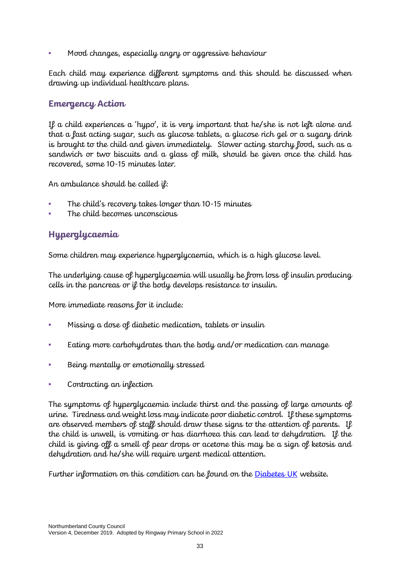Mood changes, especially angry or aggressive behaviour

Each child may experience different symptoms and this should be discussed when drawing up individual healthcare plans.

#### **Emergency Action**

If a child experiences a 'hypo', it is very important that he/she is not left alone and that a fast acting sugar, such as glucose tablets, a glucose rich gel or a sugary drink is brought to the child and given immediately. Slower acting starchy food, such as a sandwich or two biscuits and a glass of milk, should be given once the child has recovered, some 10-15 minutes later.

An ambulance should be called if:

- The child's recovery takes longer than 10-15 minutes
- The child becomes unconscious

# **Hyperglycaemia**

Some children may experience hyperglycaemia, which is a high glucose level.

The underlying cause of hyperglycaemia will usually be from loss of insulin producing cells in the pancreas or if the body develops resistance to insulin.

More immediate reasons for it include:

- Missing a dose of diabetic medication, tablets or insulin
- Eating more carbohydrates than the body and/or medication can manage
- Being mentally or emotionally stressed
- Contracting an infection

The symptoms of hyperglycaemia include thirst and the passing of large amounts of urine. Tiredness and weight loss may indicate poor diabetic control. If these symptoms are observed members of staff should draw these signs to the attention of parents. If the child is unwell, is vomiting or has diarrhoea this can lead to dehydration. If the child is giving off a smell of pear drops or acetone this may be a sign of ketosis and dehydration and he/she will require urgent medical attention.

Further information on this condition can be found on the **Diabetes UK** website.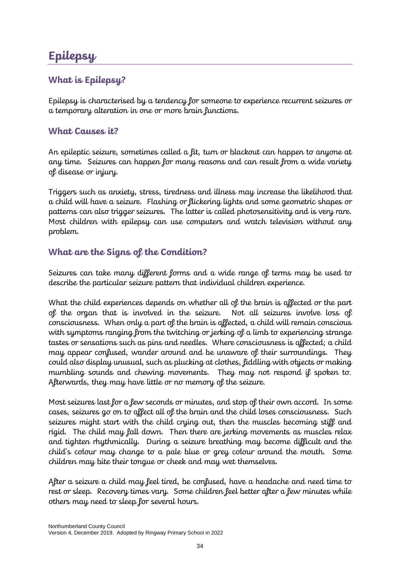# <span id="page-34-0"></span>**Epilepsy**

# **What is Epilepsy?**

Epilepsy is characterised by a tendency for someone to experience recurrent seizures or a temporary alteration in one or more brain functions.

## **What Causes it?**

An epileptic seizure, sometimes called a fit, turn or blackout can happen to anyone at any time. Seizures can happen for many reasons and can result from a wide variety of disease or injury.

Triggers such as anxiety, stress, tiredness and illness may increase the likelihood that a child will have a seizure. Flashing or flickering lights and some geometric shapes or patterns can also trigger seizures. The latter is called photosensitivity and is very rare. Most children with epilepsy can use computers and watch television without any problem.

# **What are the Signs of the Condition?**

Seizures can take many different forms and a wide range of terms may be used to describe the particular seizure pattern that individual children experience.

What the child experiences depends on whether all of the brain is affected or the part of the organ that is involved in the seizure. Not all seizures involve loss of consciousness. When only a part of the brain is affected, a child will remain conscious with symptoms ranging from the twitching or jerking of a limb to experiencing strange tastes or sensations such as pins and needles. Where consciousness is affected; a child may appear confused, wander around and be unaware of their surroundings. They could also display unusual, such as plucking at clothes, fiddling with objects or making mumbling sounds and chewing movements. They may not respond if spoken to. Afterwards, they may have little or no memory of the seizure.

Most seizures last for a few seconds or minutes, and stop of their own accord. In some cases, seizures go on to affect all of the brain and the child loses consciousness. Such seizures might start with the child crying out, then the muscles becoming stiff and rigid. The child may fall down. Then there are jerking movements as muscles relax and tighten rhythmically. During a seizure breathing may become difficult and the child's colour may change to a pale blue or grey colour around the mouth. Some children may bite their tongue or cheek and may wet themselves.

After a seizure a child may feel tired, be confused, have a headache and need time to rest or sleep. Recovery times vary. Some children feel better after a few minutes while others may need to sleep for several hours.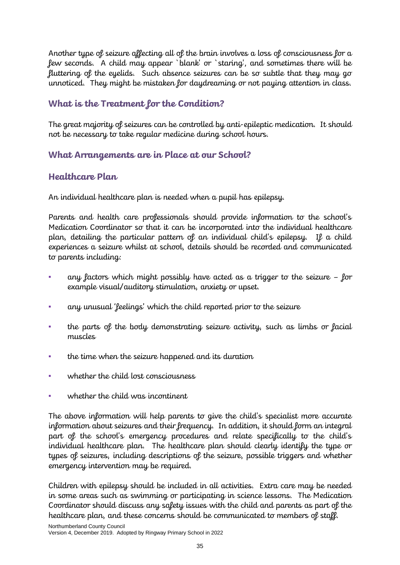Another type of seizure affecting all of the brain involves a loss of consciousness for a few seconds. A child may appear `blank' or `staring', and sometimes there will be fluttering of the eyelids. Such absence seizures can be so subtle that they may go unnoticed. They might be mistaken for daydreaming or not paying attention in class.

# **What is the Treatment for the Condition?**

The great majority of seizures can be controlled by anti-epileptic medication. It should not be necessary to take regular medicine during school hours.

## **What Arrangements are in Place at our School?**

#### **Healthcare Plan**

An individual healthcare plan is needed when a pupil has epilepsy.

Parents and health care professionals should provide information to the school's Medication Coordinator so that it can be incorporated into the individual healthcare plan, detailing the particular pattern of an individual child's epilepsy. If a child experiences a seizure whilst at school, details should be recorded and communicated to parents including:

- any factors which might possibly have acted as a trigger to the seizure  $-$  for example visual/auditory stimulation, anxiety or upset.
- any unusual 'feelings' which the child reported prior to the seizure
- the parts of the body demonstrating seizure activity, such as limbs or facial muscles
- the time when the seizure happened and its duration
- whether the child lost consciousness
- whether the child was incontinent

The above information will help parents to give the child's specialist more accurate information about seizures and their frequency. In addition, it should form an integral part of the school's emergency procedures and relate specifically to the child's individual healthcare plan. The healthcare plan should clearly identify the type or types of seizures, including descriptions of the seizure, possible triggers and whether emergency intervention may be required.

Children with epilepsy should be included in all activities. Extra care may be needed in some areas such as swimming or participating in science lessons. The Medication Coordinator should discuss any safety issues with the child and parents as part of the healthcare plan, and these concerns should be communicated to members of staff.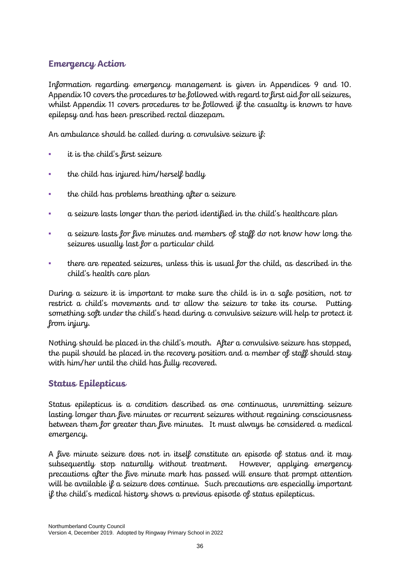## **Emergency Action**

Information regarding emergency management is given in Appendices 9 and 10. Appendix 10 covers the procedures to be followed with regard to first aid for all seizures, whilst Appendix 11 covers procedures to be followed if the casualty is known to have epilepsy and has been prescribed rectal diazepam.

An ambulance should be called during a convulsive seizure if:

- it is the child's first seizure
- the child has injured him/herself badly
- the child has problems breathing after a seizure
- a seizure lasts longer than the period identified in the child's healthcare plan
- a seizure lasts for five minutes and members of staff do not know how long the seizures usually last for a particular child
- there are repeated seizures, unless this is usual for the child, as described in the child's health care plan

During a seizure it is important to make sure the child is in a safe position, not to restrict a child's movements and to allow the seizure to take its course. Putting something soft under the child's head during a convulsive seizure will help to protect it from injury.

Nothing should be placed in the child's mouth. After a convulsive seizure has stopped, the pupil should be placed in the recovery position and a member of staff should stay with him/her until the child has fully recovered.

#### **Status Epilepticus**

Status epilepticus is a condition described as one continuous, unremitting seizure lasting longer than five minutes or recurrent seizures without regaining consciousness between them for greater than five minutes. It must always be considered a medical emergency.

A five minute seizure does not in itself constitute an episode of status and it may subsequently stop naturally without treatment. However, applying emergency precautions after the five minute mark has passed will ensure that prompt attention will be available if a seizure does continue. Such precautions are especially important if the child's medical history shows a previous episode of status epilepticus.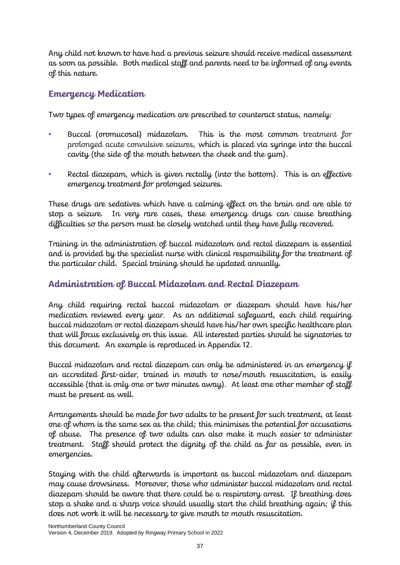Any child not known to have had a previous seizure should receive medical assessment as soon as possible. Both medical staff and parents need to be informed of any events of this nature.

# **Emergency Medication**

Two types of emergency medication are prescribed to counteract status, namely:

- Buccal (oromucosal) midazolam. This is the most common treatment for prolonged acute convulsive seizures, which is placed via syringe into the buccal cavity (the side of the mouth between the cheek and the gum).
- Rectal diazepam, which is given rectally (into the bottom). This is an effective emergency treatment for prolonged seizures.

These drugs are sedatives which have a calming effect on the brain and are able to stop a seizure. In very rare cases, these emergency drugs can cause breathing difficulties so the person must be closely watched until they have fully recovered.

Training in the administration of buccal midazolam and rectal diazepam is essential and is provided by the specialist nurse with clinical responsibility for the treatment of the particular child. Special training should be updated annually.

# **Administration of Buccal Midazolam and Rectal Diazepam**

Any child requiring rectal buccal midazolam or diazepam should have his/her medication reviewed every year. As an additional safeguard, each child requiring buccal midazolam or rectal diazepam should have his/her own specific healthcare plan that will focus exclusively on this issue. All interested parties should be signatories to this document. An example is reproduced in Appendix 12.

Buccal midazolam and rectal diazepam can only be administered in an emergency if an accredited first-aider, trained in mouth to nose/mouth resuscitation, is easily accessible (that is only one or two minutes away). At least one other member of staff must be present as well.

Arrangements should be made for two adults to be present for such treatment, at least one of whom is the same sex as the child; this minimises the potential for accusations of abuse. The presence of two adults can also make it much easier to administer treatment. Staff should protect the dignity of the child as far as possible, even in emergencies.

Staying with the child afterwards is important as buccal midazolam and diazepam may cause drowsiness. Moreover, those who administer buccal midazolam and rectal diazepam should be aware that there could be a respiratory arrest. If breathing does stop a shake and a sharp voice should usually start the child breathing again; if this does not work it will be necessary to give mouth to mouth resuscitation.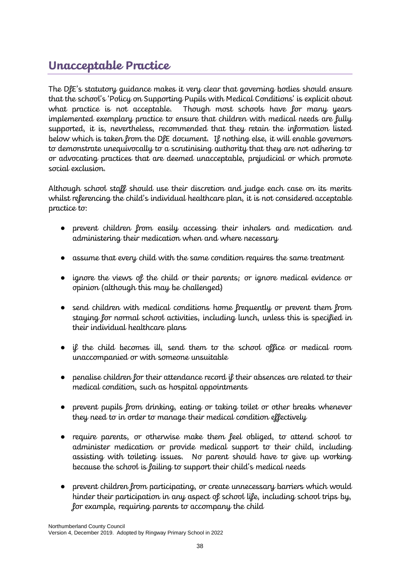# <span id="page-38-0"></span>**Unacceptable Practice**

The DfE's statutory guidance makes it very clear that governing bodies should ensure that the school's 'Policy on Supporting Pupils with Medical Conditions' is explicit about what practice is not acceptable. Though most schools have for many years implemented exemplary practice to ensure that children with medical needs are fully supported, it is, nevertheless, recommended that they retain the information listed below which is taken from the DfE document. If nothing else, it will enable governors to demonstrate unequivocally to a scrutinising authority that they are not adhering to or advocating practices that are deemed unacceptable, prejudicial or which promote social exclusion.

Although school staff should use their discretion and judge each case on its merits whilst referencing the child's individual healthcare plan, it is not considered acceptable practice to:

- prevent children from easily accessing their inhalers and medication and administering their medication when and where necessary
- assume that every child with the same condition requires the same treatment
- ignore the views of the child or their parents; or ignore medical evidence or opinion (although this may be challenged)
- send children with medical conditions home frequently or prevent them from staying for normal school activities, including lunch, unless this is specified in their individual healthcare plans
- if the child becomes ill, send them to the school office or medical room unaccompanied or with someone unsuitable
- $\bullet$  penalise children for their attendance record if their absences are related to their medical condition, such as hospital appointments
- prevent pupils from drinking, eating or taking toilet or other breaks whenever they need to in order to manage their medical condition effectively
- require parents, or otherwise make them feel obliged, to attend school to administer medication or provide medical support to their child, including assisting with toileting issues. No parent should have to give up working because the school is failing to support their child's medical needs
- prevent children from participating, or create unnecessary barriers which would hinder their participation in any aspect of school life, including school trips by, for example, requiring parents to accompany the child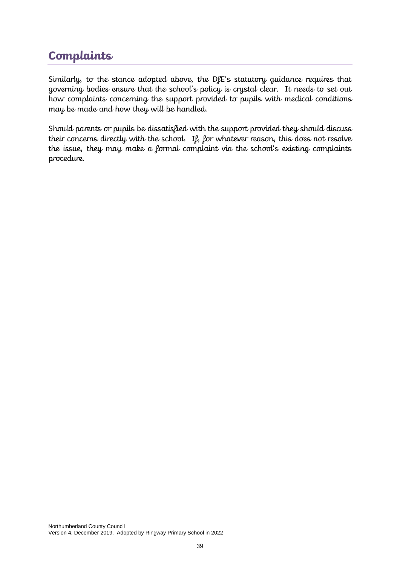# <span id="page-39-0"></span>**Complaints**

Similarly, to the stance adopted above, the DfE's statutory guidance requires that governing bodies ensure that the school's policy is crystal clear. It needs to set out how complaints concerning the support provided to pupils with medical conditions may be made and how they will be handled.

Should parents or pupils be dissatisfied with the support provided they should discuss their concerns directly with the school. If, for whatever reason, this does not resolve the issue, they may make a formal complaint via the school's existing complaints procedure.